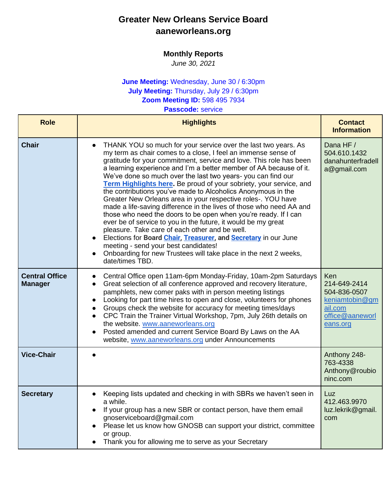## **Greater New Orleans Service Board aaneworleans.org**

## **Monthly Reports**

*June 30, 2021*

## **June Meeting:** Wednesday, June 30 / 6:30pm **July Meeting:** Thursday, July 29 / 6:30pm **Zoom Meeting ID:** 598 495 7934

**Passcode:** service

| <b>Role</b>                             | <b>Highlights</b>                                                                                                                                                                                                                                                                                                                                                                                                                                                                                                                                                                                                                                                                                                                                                                                                                                                                                                                                                                                                                                        | <b>Contact</b><br><b>Information</b>                                                                   |
|-----------------------------------------|----------------------------------------------------------------------------------------------------------------------------------------------------------------------------------------------------------------------------------------------------------------------------------------------------------------------------------------------------------------------------------------------------------------------------------------------------------------------------------------------------------------------------------------------------------------------------------------------------------------------------------------------------------------------------------------------------------------------------------------------------------------------------------------------------------------------------------------------------------------------------------------------------------------------------------------------------------------------------------------------------------------------------------------------------------|--------------------------------------------------------------------------------------------------------|
| <b>Chair</b>                            | THANK YOU so much for your service over the last two years. As<br>$\bullet$<br>my term as chair comes to a close, I feel an immense sense of<br>gratitude for your commitment, service and love. This role has been<br>a learning experience and I'm a better member of AA because of it.<br>We've done so much over the last two years- you can find our<br>Term Highlights here. Be proud of your sobriety, your service, and<br>the contributions you've made to Alcoholics Anonymous in the<br>Greater New Orleans area in your respective roles-. YOU have<br>made a life-saving difference in the lives of those who need AA and<br>those who need the doors to be open when you're ready. If I can<br>ever be of service to you in the future, it would be my great<br>pleasure. Take care of each other and be well.<br>Elections for Board Chair, Treasurer, and Secretary in our June<br>$\bullet$<br>meeting - send your best candidates!<br>Onboarding for new Trustees will take place in the next 2 weeks,<br>$\bullet$<br>date/times TBD. | Dana HF /<br>504.610.1432<br>danahunterfradell<br>a@gmail.com                                          |
| <b>Central Office</b><br><b>Manager</b> | Central Office open 11am-6pm Monday-Friday, 10am-2pm Saturdays<br>$\bullet$<br>Great selection of all conference approved and recovery literature,<br>$\bullet$<br>pamphlets, new comer paks with in person meeting listings<br>Looking for part time hires to open and close, volunteers for phones<br>Groups check the website for accuracy for meeting times/days<br>CPC Train the Trainer Virtual Workshop, 7pm, July 26th details on<br>$\bullet$<br>the website. www.aaneworleans.org<br>Posted amended and current Service Board By Laws on the AA<br>$\bullet$<br>website, www.aaneworleans.org under Announcements                                                                                                                                                                                                                                                                                                                                                                                                                              | <b>Ken</b><br>214-649-2414<br>504-836-0507<br>keniamtobin@gm<br>ail.com<br>office@aaneworl<br>eans.org |
| <b>Vice-Chair</b>                       |                                                                                                                                                                                                                                                                                                                                                                                                                                                                                                                                                                                                                                                                                                                                                                                                                                                                                                                                                                                                                                                          | Anthony 248-<br>763-4338<br>Anthony@roubio<br>ninc.com                                                 |
| <b>Secretary</b>                        | Keeping lists updated and checking in with SBRs we haven't seen in<br>$\bullet$<br>a while.<br>If your group has a new SBR or contact person, have them email<br>gnoserviceboard@gmail.com<br>Please let us know how GNOSB can support your district, committee<br>or group.<br>Thank you for allowing me to serve as your Secretary                                                                                                                                                                                                                                                                                                                                                                                                                                                                                                                                                                                                                                                                                                                     | Luz<br>412.463.9970<br>luz.lekrik@gmail.<br>com                                                        |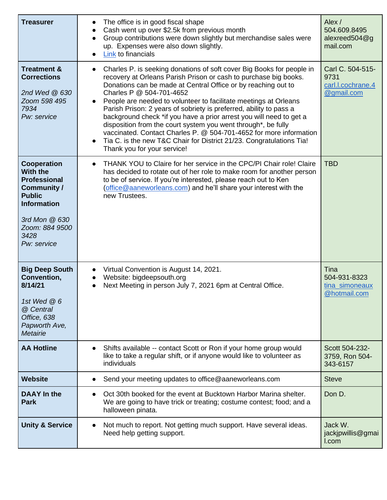| <b>Treasurer</b>                                                                                                                                               | The office is in good fiscal shape<br>$\bullet$<br>Cash went up over \$2.5k from previous month<br>$\bullet$<br>Group contributions were down slightly but merchandise sales were<br>$\bullet$<br>up. Expenses were also down slightly.<br>Link to financials<br>$\bullet$                                                                                                                                                                                                                                                                                                                                                                                                                                                      | Alex /<br>504.609.8495<br>alexreed504@g<br>mail.com         |
|----------------------------------------------------------------------------------------------------------------------------------------------------------------|---------------------------------------------------------------------------------------------------------------------------------------------------------------------------------------------------------------------------------------------------------------------------------------------------------------------------------------------------------------------------------------------------------------------------------------------------------------------------------------------------------------------------------------------------------------------------------------------------------------------------------------------------------------------------------------------------------------------------------|-------------------------------------------------------------|
| <b>Treatment &amp;</b><br><b>Corrections</b><br>2nd Wed @ 630<br>Zoom 598 495<br>7934<br>Pw: service                                                           | Charles P. is seeking donations of soft cover Big Books for people in<br>$\bullet$<br>recovery at Orleans Parish Prison or cash to purchase big books.<br>Donations can be made at Central Office or by reaching out to<br>Charles P @ 504-701-4652<br>People are needed to volunteer to facilitate meetings at Orleans<br>Parish Prison: 2 years of sobriety is preferred, ability to pass a<br>background check *if you have a prior arrest you will need to get a<br>disposition from the court system you went through*, be fully<br>vaccinated. Contact Charles P. @ 504-701-4652 for more information<br>Tia C. is the new T&C Chair for District 21/23. Congratulations Tia!<br>$\bullet$<br>Thank you for your service! | Carl C. 504-515-<br>9731<br>carl.l.cochrane.4<br>@gmail.com |
| Cooperation<br>With the<br>Professional<br><b>Community /</b><br><b>Public</b><br><b>Information</b><br>3rd Mon @ 630<br>Zoom: 884 9500<br>3428<br>Pw: service | THANK YOU to Claire for her service in the CPC/PI Chair role! Claire<br>$\bullet$<br>has decided to rotate out of her role to make room for another person<br>to be of service. If you're interested, please reach out to Ken<br>(office@aaneworleans.com) and he'll share your interest with the<br>new Trustees.                                                                                                                                                                                                                                                                                                                                                                                                              | <b>TBD</b>                                                  |
| <b>Big Deep South</b><br>Convention,<br>8/14/21<br>1st Wed $@6$<br>@ Central<br>Office, 638<br>Papworth Ave,<br><b>Metairie</b>                                | Virtual Convention is August 14, 2021.<br>$\bullet$<br>Website: bigdeepsouth.org<br>$\bullet$<br>Next Meeting in person July 7, 2021 6pm at Central Office.                                                                                                                                                                                                                                                                                                                                                                                                                                                                                                                                                                     | Tina<br>504-931-8323<br>tina simoneaux<br>@hotmail.com      |
| <b>AA Hotline</b>                                                                                                                                              | Shifts available -- contact Scott or Ron if your home group would<br>$\bullet$<br>like to take a regular shift, or if anyone would like to volunteer as<br>individuals                                                                                                                                                                                                                                                                                                                                                                                                                                                                                                                                                          | Scott 504-232-<br>3759, Ron 504-<br>343-6157                |
| <b>Website</b>                                                                                                                                                 | Send your meeting updates to office@aaneworleans.com<br>$\bullet$                                                                                                                                                                                                                                                                                                                                                                                                                                                                                                                                                                                                                                                               | <b>Steve</b>                                                |
| <b>DAAY</b> In the<br><b>Park</b>                                                                                                                              | Oct 30th booked for the event at Bucktown Harbor Marina shelter.<br>$\bullet$<br>We are going to have trick or treating; costume contest; food; and a<br>halloween pinata.                                                                                                                                                                                                                                                                                                                                                                                                                                                                                                                                                      | Don D.                                                      |
| <b>Unity &amp; Service</b>                                                                                                                                     | Not much to report. Not getting much support. Have several ideas.<br>$\bullet$<br>Need help getting support.                                                                                                                                                                                                                                                                                                                                                                                                                                                                                                                                                                                                                    | Jack W.<br>jackjpwillis@gmai<br>I.com                       |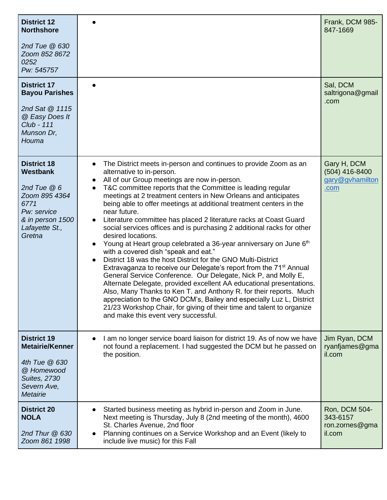| <b>District 12</b><br><b>Northshore</b><br>2nd Tue @ 630<br>Zoom 852 8672<br>0252<br>Pw: 545757                                        |                                                                                                                                                                                                                                                                                                                                                                                                                                                                                                                                                                                                                                                                                                                                                                                                                                                                                                                                                                                                                                                                                                                                                                                                                                                                                     | Frank, DCM 985-<br>847-1669                                |
|----------------------------------------------------------------------------------------------------------------------------------------|-------------------------------------------------------------------------------------------------------------------------------------------------------------------------------------------------------------------------------------------------------------------------------------------------------------------------------------------------------------------------------------------------------------------------------------------------------------------------------------------------------------------------------------------------------------------------------------------------------------------------------------------------------------------------------------------------------------------------------------------------------------------------------------------------------------------------------------------------------------------------------------------------------------------------------------------------------------------------------------------------------------------------------------------------------------------------------------------------------------------------------------------------------------------------------------------------------------------------------------------------------------------------------------|------------------------------------------------------------|
| <b>District 17</b><br><b>Bayou Parishes</b><br>2nd Sat @ 1115<br>@ Easy Does It<br><b>Club - 111</b><br>Munson Dr,<br>Houma            |                                                                                                                                                                                                                                                                                                                                                                                                                                                                                                                                                                                                                                                                                                                                                                                                                                                                                                                                                                                                                                                                                                                                                                                                                                                                                     | Sal, DCM<br>saltrigona@gmail<br>.com                       |
| <b>District 18</b><br>Westbank<br>2nd Tue $@6$<br>Zoom 895 4364<br>6771<br>Pw: service<br>& in person 1500<br>Lafayette St.,<br>Gretna | The District meets in-person and continues to provide Zoom as an<br>$\bullet$<br>alternative to in-person.<br>All of our Group meetings are now in-person.<br>T&C committee reports that the Committee is leading regular<br>$\bullet$<br>meetings at 2 treatment centers in New Orleans and anticipates<br>being able to offer meetings at additional treatment centers in the<br>near future.<br>Literature committee has placed 2 literature racks at Coast Guard<br>$\bullet$<br>social services offices and is purchasing 2 additional racks for other<br>desired locations.<br>Young at Heart group celebrated a 36-year anniversary on June 6th<br>$\bullet$<br>with a covered dish "speak and eat."<br>District 18 was the host District for the GNO Multi-District<br>$\bullet$<br>Extravaganza to receive our Delegate's report from the 71 <sup>st</sup> Annual<br>General Service Conference. Our Delegate, Nick P, and Molly E,<br>Alternate Delegate, provided excellent AA educational presentations.<br>Also, Many Thanks to Ken T. and Anthony R. for their reports. Much<br>appreciation to the GNO DCM's, Bailey and especially Luz L, District<br>21/23 Workshop Chair, for giving of their time and talent to organize<br>and make this event very successful. | Gary H, DCM<br>$(504)$ 416-8400<br>gary@gvhamilton<br>.com |
| <b>District 19</b><br><b>Metairie/Kenner</b><br>4th Tue @ 630<br>@ Homewood<br><b>Suites, 2730</b><br>Severn Ave,<br><b>Metairie</b>   | I am no longer service board liaison for district 19. As of now we have<br>$\bullet$<br>not found a replacement. I had suggested the DCM but he passed on<br>the position.                                                                                                                                                                                                                                                                                                                                                                                                                                                                                                                                                                                                                                                                                                                                                                                                                                                                                                                                                                                                                                                                                                          | Jim Ryan, DCM<br>ryanfjames@gma<br>il.com                  |
| <b>District 20</b><br><b>NOLA</b><br>2nd Thur $@630$<br>Zoom 861 1998                                                                  | Started business meeting as hybrid in-person and Zoom in June.<br>Next meeting is Thursday, July 8 (2nd meeting of the month), 4600<br>St. Charles Avenue, 2nd floor<br>Planning continues on a Service Workshop and an Event (likely to<br>$\bullet$<br>include live music) for this Fall                                                                                                                                                                                                                                                                                                                                                                                                                                                                                                                                                                                                                                                                                                                                                                                                                                                                                                                                                                                          | Ron, DCM 504-<br>343-6157<br>ron.zornes@gma<br>il.com      |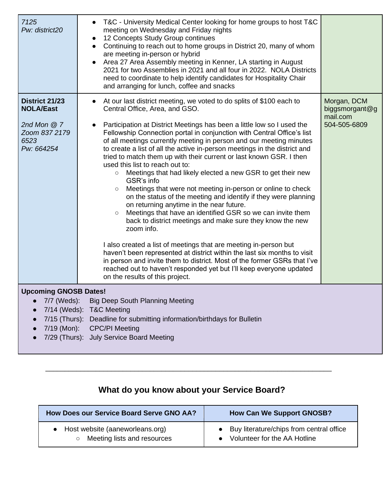| 7125<br>Pw: district20                                                                           | T&C - University Medical Center looking for home groups to host T&C<br>meeting on Wednesday and Friday nights<br>12 Concepts Study Group continues<br>$\bullet$<br>Continuing to reach out to home groups in District 20, many of whom<br>$\bullet$<br>are meeting in-person or hybrid<br>Area 27 Area Assembly meeting in Kenner, LA starting in August<br>2021 for two Assemblies in 2021 and all four in 2022. NOLA Districts<br>need to coordinate to help identify candidates for Hospitality Chair<br>and arranging for lunch, coffee and snacks                                                                                                                                                                                                                                                                                                                                                                                                                                                                                                                                                                                                                                                                                                                                                                |                                                           |
|--------------------------------------------------------------------------------------------------|-----------------------------------------------------------------------------------------------------------------------------------------------------------------------------------------------------------------------------------------------------------------------------------------------------------------------------------------------------------------------------------------------------------------------------------------------------------------------------------------------------------------------------------------------------------------------------------------------------------------------------------------------------------------------------------------------------------------------------------------------------------------------------------------------------------------------------------------------------------------------------------------------------------------------------------------------------------------------------------------------------------------------------------------------------------------------------------------------------------------------------------------------------------------------------------------------------------------------------------------------------------------------------------------------------------------------|-----------------------------------------------------------|
| <b>District 21/23</b><br><b>NOLA/East</b><br>2nd Mon $@7$<br>Zoom 837 2179<br>6523<br>Pw: 664254 | At our last district meeting, we voted to do splits of \$100 each to<br>$\bullet$<br>Central Office, Area, and GSO.<br>Participation at District Meetings has been a little low so I used the<br>$\bullet$<br>Fellowship Connection portal in conjunction with Central Office's list<br>of all meetings currently meeting in person and our meeting minutes<br>to create a list of all the active in-person meetings in the district and<br>tried to match them up with their current or last known GSR. I then<br>used this list to reach out to:<br>Meetings that had likely elected a new GSR to get their new<br>$\bigcirc$<br>GSR's info<br>Meetings that were not meeting in-person or online to check<br>on the status of the meeting and identify if they were planning<br>on returning anytime in the near future.<br>Meetings that have an identified GSR so we can invite them<br>$\circ$<br>back to district meetings and make sure they know the new<br>zoom info.<br>I also created a list of meetings that are meeting in-person but<br>haven't been represented at district within the last six months to visit<br>in person and invite them to district. Most of the former GSRs that I've<br>reached out to haven't responded yet but I'll keep everyone updated<br>on the results of this project. | Morgan, DCM<br>biggsmorgant@g<br>mail.com<br>504-505-6809 |
| <b>Upcoming GNOSB Dates!</b><br>7/7 (Weds):<br>7/19 (Mon):                                       | <b>Big Deep South Planning Meeting</b><br>7/14 (Weds): T&C Meeting<br>7/15 (Thurs): Deadline for submitting information/birthdays for Bulletin<br><b>CPC/PI Meeting</b><br>7/29 (Thurs): July Service Board Meeting                                                                                                                                                                                                                                                                                                                                                                                                                                                                                                                                                                                                                                                                                                                                                                                                                                                                                                                                                                                                                                                                                                   |                                                           |

## **What do you know about your Service Board?**

\_\_\_\_\_\_\_\_\_\_\_\_\_\_\_\_\_\_\_\_\_\_\_\_\_\_\_\_\_\_\_\_\_\_\_\_\_\_\_\_\_\_\_\_\_\_\_\_\_\_\_\_\_\_\_\_\_\_\_\_\_\_\_\_\_\_\_\_\_\_\_\_\_\_

| How Does our Service Board Serve GNO AA? | <b>How Can We Support GNOSB?</b>         |  |
|------------------------------------------|------------------------------------------|--|
| • Host website (aaneworleans.org)        | Buy literature/chips from central office |  |
| Meeting lists and resources              | Volunteer for the AA Hotline             |  |